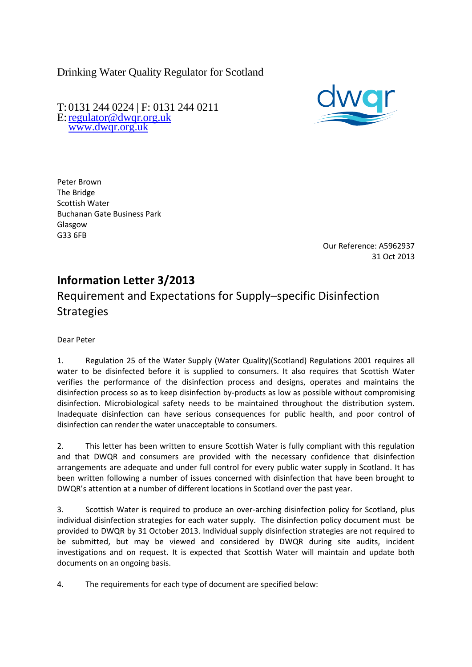Drinking Water Quality Regulator for Scotland

T: 0131 244 0224 | F: 0131 244 0211 E[:regulator@dwqr.org.uk](mailto:regulator@dwqr.org.uk)  [www.dwqr.org.uk](http://www.dwqr.org.uk/)



Peter Brown The Bridge Scottish Water Buchanan Gate Business Park Glasgow G33 6FB

> Our Reference: A5962937 31 Oct 2013

## **Information Letter 3/2013**

# Requirement and Expectations for Supply–specific Disinfection **Strategies**

Dear Peter

1. Regulation 25 of the Water Supply (Water Quality)(Scotland) Regulations 2001 requires all water to be disinfected before it is supplied to consumers. It also requires that Scottish Water verifies the performance of the disinfection process and designs, operates and maintains the disinfection process so as to keep disinfection by-products as low as possible without compromising disinfection. Microbiological safety needs to be maintained throughout the distribution system. Inadequate disinfection can have serious consequences for public health, and poor control of disinfection can render the water unacceptable to consumers.

2. This letter has been written to ensure Scottish Water is fully compliant with this regulation and that DWQR and consumers are provided with the necessary confidence that disinfection arrangements are adequate and under full control for every public water supply in Scotland. It has been written following a number of issues concerned with disinfection that have been brought to DWQR's attention at a number of different locations in Scotland over the past year.

3. Scottish Water is required to produce an over-arching disinfection policy for Scotland, plus individual disinfection strategies for each water supply. The disinfection policy document must be provided to DWQR by 31 October 2013. Individual supply disinfection strategies are not required to be submitted, but may be viewed and considered by DWQR during site audits, incident investigations and on request. It is expected that Scottish Water will maintain and update both documents on an ongoing basis.

4. The requirements for each type of document are specified below: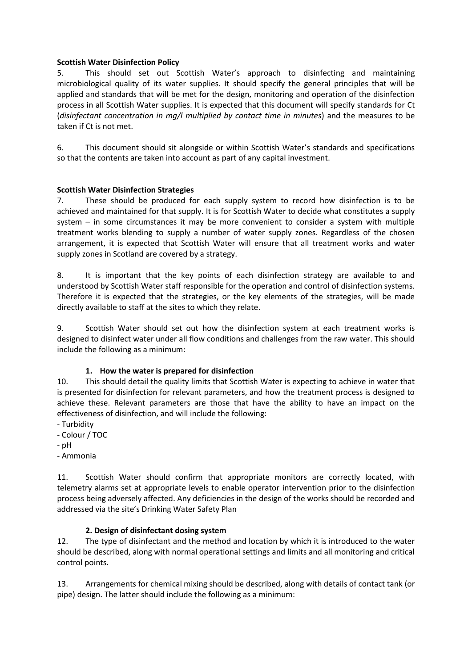#### **Scottish Water Disinfection Policy**

5. This should set out Scottish Water's approach to disinfecting and maintaining microbiological quality of its water supplies. It should specify the general principles that will be applied and standards that will be met for the design, monitoring and operation of the disinfection process in all Scottish Water supplies. It is expected that this document will specify standards for Ct (*disinfectant concentration in mg/l multiplied by contact time in minutes*) and the measures to be taken if Ct is not met.

6. This document should sit alongside or within Scottish Water's standards and specifications so that the contents are taken into account as part of any capital investment.

### **Scottish Water Disinfection Strategies**

7. These should be produced for each supply system to record how disinfection is to be achieved and maintained for that supply. It is for Scottish Water to decide what constitutes a supply system – in some circumstances it may be more convenient to consider a system with multiple treatment works blending to supply a number of water supply zones. Regardless of the chosen arrangement, it is expected that Scottish Water will ensure that all treatment works and water supply zones in Scotland are covered by a strategy.

8. It is important that the key points of each disinfection strategy are available to and understood by Scottish Water staff responsible for the operation and control of disinfection systems. Therefore it is expected that the strategies, or the key elements of the strategies, will be made directly available to staff at the sites to which they relate.

9. Scottish Water should set out how the disinfection system at each treatment works is designed to disinfect water under all flow conditions and challenges from the raw water. This should include the following as a minimum:

### **1. How the water is prepared for disinfection**

10. This should detail the quality limits that Scottish Water is expecting to achieve in water that is presented for disinfection for relevant parameters, and how the treatment process is designed to achieve these. Relevant parameters are those that have the ability to have an impact on the effectiveness of disinfection, and will include the following:

- Turbidity
- Colour / TOC
- pH
- Ammonia

11. Scottish Water should confirm that appropriate monitors are correctly located, with telemetry alarms set at appropriate levels to enable operator intervention prior to the disinfection process being adversely affected. Any deficiencies in the design of the works should be recorded and addressed via the site's Drinking Water Safety Plan

### **2. Design of disinfectant dosing system**

12. The type of disinfectant and the method and location by which it is introduced to the water should be described, along with normal operational settings and limits and all monitoring and critical control points.

13. Arrangements for chemical mixing should be described, along with details of contact tank (or pipe) design. The latter should include the following as a minimum: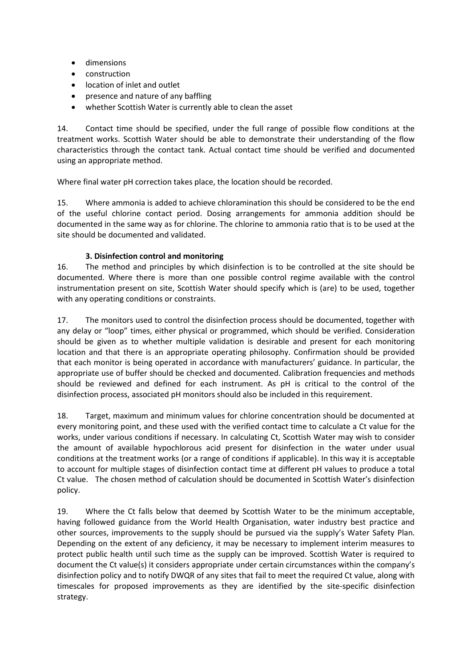- dimensions
- construction
- location of inlet and outlet
- presence and nature of any baffling
- whether Scottish Water is currently able to clean the asset

14. Contact time should be specified, under the full range of possible flow conditions at the treatment works. Scottish Water should be able to demonstrate their understanding of the flow characteristics through the contact tank. Actual contact time should be verified and documented using an appropriate method.

Where final water pH correction takes place, the location should be recorded.

15. Where ammonia is added to achieve chloramination this should be considered to be the end of the useful chlorine contact period. Dosing arrangements for ammonia addition should be documented in the same way as for chlorine. The chlorine to ammonia ratio that is to be used at the site should be documented and validated.

### **3. Disinfection control and monitoring**

16. The method and principles by which disinfection is to be controlled at the site should be documented. Where there is more than one possible control regime available with the control instrumentation present on site, Scottish Water should specify which is (are) to be used, together with any operating conditions or constraints.

17. The monitors used to control the disinfection process should be documented, together with any delay or "loop" times, either physical or programmed, which should be verified. Consideration should be given as to whether multiple validation is desirable and present for each monitoring location and that there is an appropriate operating philosophy. Confirmation should be provided that each monitor is being operated in accordance with manufacturers' guidance. In particular, the appropriate use of buffer should be checked and documented. Calibration frequencies and methods should be reviewed and defined for each instrument. As pH is critical to the control of the disinfection process, associated pH monitors should also be included in this requirement.

18. Target, maximum and minimum values for chlorine concentration should be documented at every monitoring point, and these used with the verified contact time to calculate a Ct value for the works, under various conditions if necessary. In calculating Ct, Scottish Water may wish to consider the amount of available hypochlorous acid present for disinfection in the water under usual conditions at the treatment works (or a range of conditions if applicable). In this way it is acceptable to account for multiple stages of disinfection contact time at different pH values to produce a total Ct value. The chosen method of calculation should be documented in Scottish Water's disinfection policy.

19. Where the Ct falls below that deemed by Scottish Water to be the minimum acceptable, having followed guidance from the World Health Organisation, water industry best practice and other sources, improvements to the supply should be pursued via the supply's Water Safety Plan. Depending on the extent of any deficiency, it may be necessary to implement interim measures to protect public health until such time as the supply can be improved. Scottish Water is required to document the Ct value(s) it considers appropriate under certain circumstances within the company's disinfection policy and to notify DWQR of any sites that fail to meet the required Ct value, along with timescales for proposed improvements as they are identified by the site-specific disinfection strategy.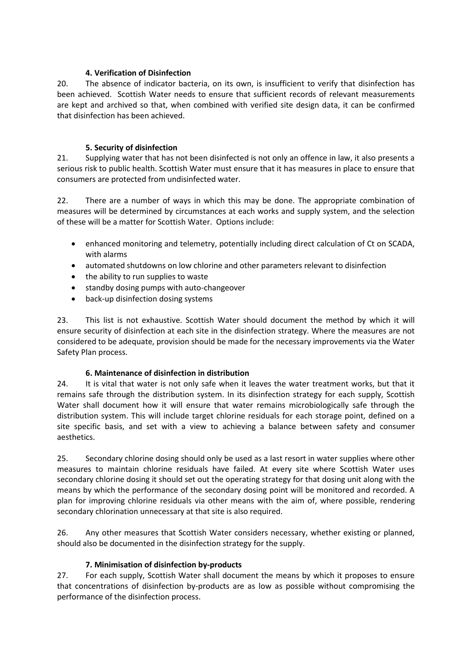#### **4. Verification of Disinfection**

20. The absence of indicator bacteria, on its own, is insufficient to verify that disinfection has been achieved. Scottish Water needs to ensure that sufficient records of relevant measurements are kept and archived so that, when combined with verified site design data, it can be confirmed that disinfection has been achieved.

### **5. Security of disinfection**

21. Supplying water that has not been disinfected is not only an offence in law, it also presents a serious risk to public health. Scottish Water must ensure that it has measures in place to ensure that consumers are protected from undisinfected water.

22. There are a number of ways in which this may be done. The appropriate combination of measures will be determined by circumstances at each works and supply system, and the selection of these will be a matter for Scottish Water. Options include:

- enhanced monitoring and telemetry, potentially including direct calculation of Ct on SCADA, with alarms
- automated shutdowns on low chlorine and other parameters relevant to disinfection
- the ability to run supplies to waste
- standby dosing pumps with auto-changeover
- back-up disinfection dosing systems

23. This list is not exhaustive. Scottish Water should document the method by which it will ensure security of disinfection at each site in the disinfection strategy. Where the measures are not considered to be adequate, provision should be made for the necessary improvements via the Water Safety Plan process.

### **6. Maintenance of disinfection in distribution**

24. It is vital that water is not only safe when it leaves the water treatment works, but that it remains safe through the distribution system. In its disinfection strategy for each supply, Scottish Water shall document how it will ensure that water remains microbiologically safe through the distribution system. This will include target chlorine residuals for each storage point, defined on a site specific basis, and set with a view to achieving a balance between safety and consumer aesthetics.

25. Secondary chlorine dosing should only be used as a last resort in water supplies where other measures to maintain chlorine residuals have failed. At every site where Scottish Water uses secondary chlorine dosing it should set out the operating strategy for that dosing unit along with the means by which the performance of the secondary dosing point will be monitored and recorded. A plan for improving chlorine residuals via other means with the aim of, where possible, rendering secondary chlorination unnecessary at that site is also required.

26. Any other measures that Scottish Water considers necessary, whether existing or planned, should also be documented in the disinfection strategy for the supply.

### **7. Minimisation of disinfection by-products**

27. For each supply, Scottish Water shall document the means by which it proposes to ensure that concentrations of disinfection by-products are as low as possible without compromising the performance of the disinfection process.